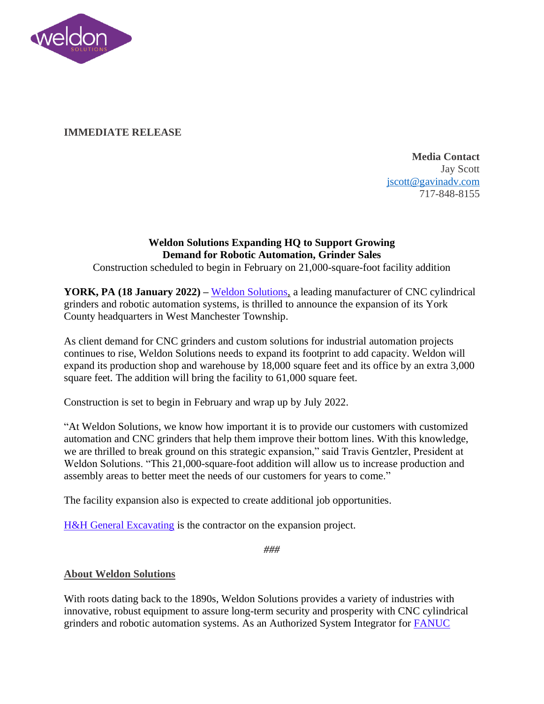

## **IMMEDIATE RELEASE**

**Media Contact** Jay Scott [jscott@gavinadv.com](mailto:jscott@gavinadv.com) 717-848-8155

## **Weldon Solutions Expanding HQ to Support Growing Demand for Robotic Automation, Grinder Sales**

Construction scheduled to begin in February on 21,000-square-foot facility addition

**YORK, PA (18 January 2022) –** [Weldon Solutions,](https://weldonsolutions.com/) a leading manufacturer of CNC cylindrical grinders and robotic automation systems, is thrilled to announce the expansion of its York County headquarters in West Manchester Township.

As client demand for CNC grinders and custom solutions for industrial automation projects continues to rise, Weldon Solutions needs to expand its footprint to add capacity. Weldon will expand its production shop and warehouse by 18,000 square feet and its office by an extra 3,000 square feet. The addition will bring the facility to 61,000 square feet.

Construction is set to begin in February and wrap up by July 2022.

"At Weldon Solutions, we know how important it is to provide our customers with customized automation and CNC grinders that help them improve their bottom lines. With this knowledge, we are thrilled to break ground on this strategic expansion," said Travis Gentzler, President at Weldon Solutions. "This 21,000-square-foot addition will allow us to increase production and assembly areas to better meet the needs of our customers for years to come."

The facility expansion also is expected to create additional job opportunities.

[H&H General Excavating](https://h-hgenexc.com/) is the contractor on the expansion project.

*###*

## **About Weldon Solutions**

With roots dating back to the 1890s, Weldon Solutions provides a variety of industries with innovative, robust equipment to assure long-term security and prosperity with CNC cylindrical grinders and robotic automation systems. As an Authorized System Integrator for [FANUC](https://www.fanucamerica.com/)